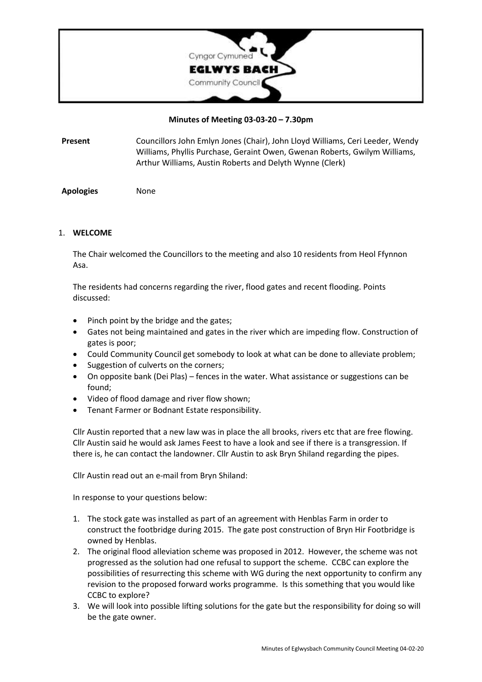

#### **Minutes of Meeting 03-03-20 – 7.30pm**

**Present** Councillors John Emlyn Jones (Chair), John Lloyd Williams, Ceri Leeder, Wendy Williams, Phyllis Purchase, Geraint Owen, Gwenan Roberts, Gwilym Williams, Arthur Williams, Austin Roberts and Delyth Wynne (Clerk)

**Apologies** None

#### 1. **WELCOME**

The Chair welcomed the Councillors to the meeting and also 10 residents from Heol Ffynnon Asa.

The residents had concerns regarding the river, flood gates and recent flooding. Points discussed:

- Pinch point by the bridge and the gates;
- Gates not being maintained and gates in the river which are impeding flow. Construction of gates is poor;
- Could Community Council get somebody to look at what can be done to alleviate problem;
- Suggestion of culverts on the corners;
- On opposite bank (Dei Plas) fences in the water. What assistance or suggestions can be found;
- Video of flood damage and river flow shown;
- Tenant Farmer or Bodnant Estate responsibility.

Cllr Austin reported that a new law was in place the all brooks, rivers etc that are free flowing. Cllr Austin said he would ask James Feest to have a look and see if there is a transgression. If there is, he can contact the landowner. Cllr Austin to ask Bryn Shiland regarding the pipes.

Cllr Austin read out an e-mail from Bryn Shiland:

In response to your questions below:

- 1. The stock gate was installed as part of an agreement with Henblas Farm in order to construct the footbridge during 2015. The gate post construction of Bryn Hir Footbridge is owned by Henblas.
- 2. The original flood alleviation scheme was proposed in 2012. However, the scheme was not progressed as the solution had one refusal to support the scheme. CCBC can explore the possibilities of resurrecting this scheme with WG during the next opportunity to confirm any revision to the proposed forward works programme. Is this something that you would like CCBC to explore?
- 3. We will look into possible lifting solutions for the gate but the responsibility for doing so will be the gate owner.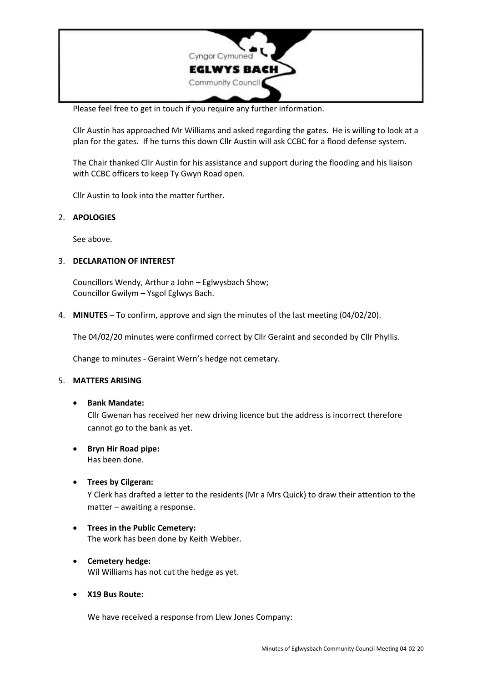

Please feel free to get in touch if you require any further information.

Cllr Austin has approached Mr Williams and asked regarding the gates. He is willing to look at a plan for the gates. If he turns this down Cllr Austin will ask CCBC for a flood defense system.

The Chair thanked Cllr Austin for his assistance and support during the flooding and his liaison with CCBC officers to keep Ty Gwyn Road open.

Cllr Austin to look into the matter further.

## 2. **APOLOGIES**

See above.

## 3. **DECLARATION OF INTEREST**

Councillors Wendy, Arthur a John – Eglwysbach Show; Councillor Gwilym – Ysgol Eglwys Bach.

4. **MINUTES** – To confirm, approve and sign the minutes of the last meeting (04/02/20).

The 04/02/20 minutes were confirmed correct by Cllr Geraint and seconded by Cllr Phyllis.

Change to minutes - Geraint Wern's hedge not cemetary.

#### 5. **MATTERS ARISING**

• **Bank Mandate:**

Cllr Gwenan has received her new driving licence but the address is incorrect therefore cannot go to the bank as yet.

• **Bryn Hir Road pipe:**

Has been done.

• **Trees by Cilgeran:**

Y Clerk has drafted a letter to the residents (Mr a Mrs Quick) to draw their attention to the matter – awaiting a response.

- **Trees in the Public Cemetery:** The work has been done by Keith Webber.
- **Cemetery hedge:** Wil Williams has not cut the hedge as yet.
- **X19 Bus Route:**

We have received a response from Llew Jones Company: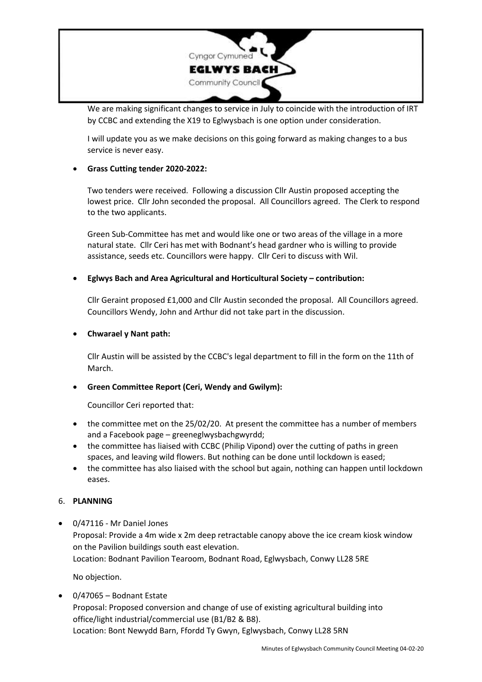

We are making significant changes to service in July to coincide with the introduction of IRT by CCBC and extending the X19 to Eglwysbach is one option under consideration.

I will update you as we make decisions on this going forward as making changes to a bus service is never easy.

# • **Grass Cutting tender 2020-2022:**

Two tenders were received. Following a discussion Cllr Austin proposed accepting the lowest price. Cllr John seconded the proposal. All Councillors agreed. The Clerk to respond to the two applicants.

Green Sub-Committee has met and would like one or two areas of the village in a more natural state. Cllr Ceri has met with Bodnant's head gardner who is willing to provide assistance, seeds etc. Councillors were happy. Cllr Ceri to discuss with Wil.

## • **Eglwys Bach and Area Agricultural and Horticultural Society – contribution:**

Cllr Geraint proposed £1,000 and Cllr Austin seconded the proposal. All Councillors agreed. Councillors Wendy, John and Arthur did not take part in the discussion.

## • **Chwarael y Nant path:**

Cllr Austin will be assisted by the CCBC's legal department to fill in the form on the 11th of March.

# • **Green Committee Report (Ceri, Wendy and Gwilym):**

Councillor Ceri reported that:

- the committee met on the 25/02/20. At present the committee has a number of members and a Facebook page – greeneglwysbachgwyrdd;
- the committee has liaised with CCBC (Philip Vipond) over the cutting of paths in green spaces, and leaving wild flowers. But nothing can be done until lockdown is eased;
- the committee has also liaised with the school but again, nothing can happen until lockdown eases.

#### 6. **PLANNING**

• 0/47116 - Mr Daniel Jones Proposal: Provide a 4m wide x 2m deep retractable canopy above the ice cream kiosk window on the Pavilion buildings south east elevation. Location: Bodnant Pavilion Tearoom, Bodnant Road, Eglwysbach, Conwy LL28 5RE

No objection.

• 0/47065 – Bodnant Estate Proposal: Proposed conversion and change of use of existing agricultural building into office/light industrial/commercial use (B1/B2 & B8). Location: Bont Newydd Barn, Ffordd Ty Gwyn, Eglwysbach, Conwy LL28 5RN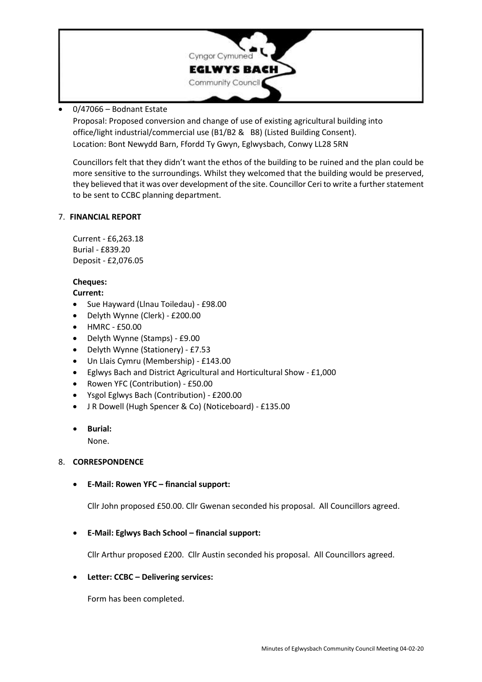

# • 0/47066 – Bodnant Estate

Proposal: Proposed conversion and change of use of existing agricultural building into office/light industrial/commercial use (B1/B2 & B8) (Listed Building Consent). Location: Bont Newydd Barn, Ffordd Ty Gwyn, Eglwysbach, Conwy LL28 5RN

Councillors felt that they didn't want the ethos of the building to be ruined and the plan could be more sensitive to the surroundings. Whilst they welcomed that the building would be preserved, they believed that it was over development of the site. Councillor Ceri to write a further statement to be sent to CCBC planning department.

## 7. **FINANCIAL REPORT**

Current - £6,263.18 Burial - £839.20 Deposit - £2,076.05

# **Cheques:**

## **Current:**

- Sue Hayward (Llnau Toiledau) £98.00
- Delyth Wynne (Clerk) £200.00
- HMRC £50.00
- Delyth Wynne (Stamps) £9.00
- Delyth Wynne (Stationery) £7.53
- Un Llais Cymru (Membership) £143.00
- Eglwys Bach and District Agricultural and Horticultural Show £1,000
- Rowen YFC (Contribution) £50.00
- Ysgol Eglwys Bach (Contribution) £200.00
- J R Dowell (Hugh Spencer & Co) (Noticeboard) £135.00
- **Burial:**

None.

# 8. **CORRESPONDENCE**

• **E-Mail: Rowen YFC – financial support:**

Cllr John proposed £50.00. Cllr Gwenan seconded his proposal. All Councillors agreed.

# • **E-Mail: Eglwys Bach School – financial support:**

Cllr Arthur proposed £200. Cllr Austin seconded his proposal. All Councillors agreed.

# • **Letter: CCBC – Delivering services:**

Form has been completed.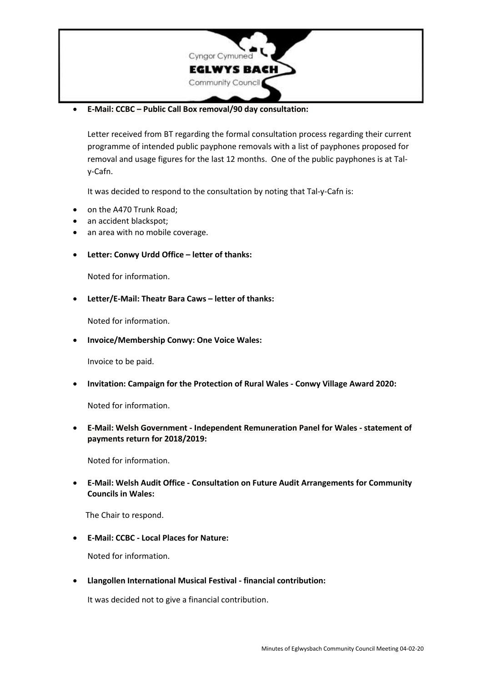

• **E-Mail: CCBC – Public Call Box removal/90 day consultation:**

Letter received from BT regarding the formal consultation process regarding their current programme of intended public payphone removals with a list of payphones proposed for removal and usage figures for the last 12 months. One of the public payphones is at Taly-Cafn.

It was decided to respond to the consultation by noting that Tal-y-Cafn is:

- on the A470 Trunk Road;
- an accident blackspot;
- an area with no mobile coverage.
- **Letter: Conwy Urdd Office – letter of thanks:**

Noted for information.

• **Letter/E-Mail: Theatr Bara Caws – letter of thanks:**

Noted for information.

• **Invoice/Membership Conwy: One Voice Wales:**

Invoice to be paid.

• **Invitation: Campaign for the Protection of Rural Wales - Conwy Village Award 2020:**

Noted for information.

• **E-Mail: Welsh Government - Independent Remuneration Panel for Wales - statement of payments return for 2018/2019:**

Noted for information.

• **E-Mail: Welsh Audit Office - Consultation on Future Audit [Arrangements](https://www.audit.wales/about-us/consultations) for Community [Councils](https://www.audit.wales/about-us/consultations) in Wales:**

The Chair to respond.

• **E-Mail: CCBC - Local Places for Nature:**

Noted for information.

• **Llangollen International Musical Festival - financial contribution:**

It was decided not to give a financial contribution.